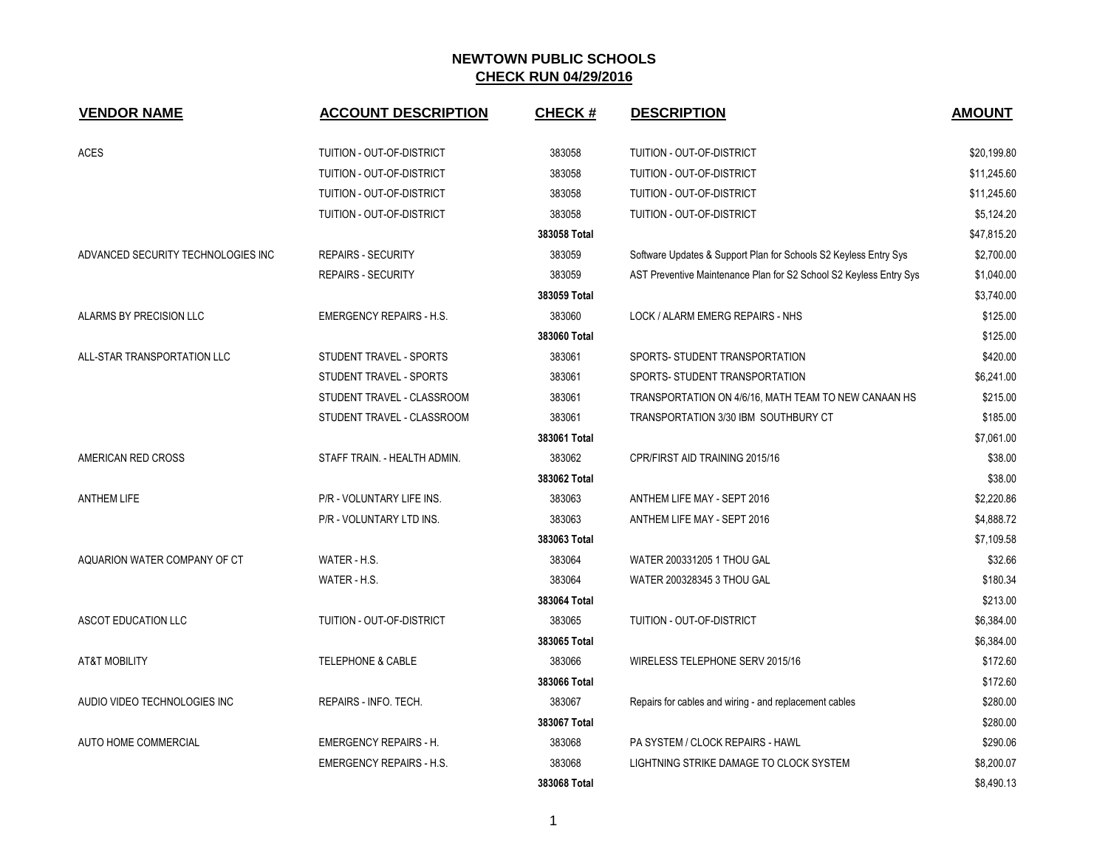| <b>VENDOR NAME</b>                 | <b>ACCOUNT DESCRIPTION</b>      | <b>CHECK#</b> | <b>DESCRIPTION</b>                                                 | <b>AMOUNT</b> |
|------------------------------------|---------------------------------|---------------|--------------------------------------------------------------------|---------------|
| ACES                               | TUITION - OUT-OF-DISTRICT       | 383058        | TUITION - OUT-OF-DISTRICT                                          | \$20,199.80   |
|                                    | TUITION - OUT-OF-DISTRICT       | 383058        | TUITION - OUT-OF-DISTRICT                                          | \$11,245.60   |
|                                    | TUITION - OUT-OF-DISTRICT       | 383058        | TUITION - OUT-OF-DISTRICT                                          | \$11,245.60   |
|                                    | TUITION - OUT-OF-DISTRICT       | 383058        | TUITION - OUT-OF-DISTRICT                                          | \$5,124.20    |
|                                    |                                 | 383058 Total  |                                                                    | \$47,815.20   |
| ADVANCED SECURITY TECHNOLOGIES INC | <b>REPAIRS - SECURITY</b>       | 383059        | Software Updates & Support Plan for Schools S2 Keyless Entry Sys   | \$2,700.00    |
|                                    | <b>REPAIRS - SECURITY</b>       | 383059        | AST Preventive Maintenance Plan for S2 School S2 Keyless Entry Sys | \$1,040.00    |
|                                    |                                 | 383059 Total  |                                                                    | \$3,740.00    |
| ALARMS BY PRECISION LLC            | <b>EMERGENCY REPAIRS - H.S.</b> | 383060        | LOCK / ALARM EMERG REPAIRS - NHS                                   | \$125.00      |
|                                    |                                 | 383060 Total  |                                                                    | \$125.00      |
| ALL-STAR TRANSPORTATION LLC        | STUDENT TRAVEL - SPORTS         | 383061        | SPORTS- STUDENT TRANSPORTATION                                     | \$420.00      |
|                                    | STUDENT TRAVEL - SPORTS         | 383061        | SPORTS- STUDENT TRANSPORTATION                                     | \$6,241.00    |
|                                    | STUDENT TRAVEL - CLASSROOM      | 383061        | TRANSPORTATION ON 4/6/16, MATH TEAM TO NEW CANAAN HS               | \$215.00      |
|                                    | STUDENT TRAVEL - CLASSROOM      | 383061        | TRANSPORTATION 3/30 IBM SOUTHBURY CT                               | \$185.00      |
|                                    |                                 | 383061 Total  |                                                                    | \$7,061.00    |
| AMERICAN RED CROSS                 | STAFF TRAIN. - HEALTH ADMIN.    | 383062        | CPR/FIRST AID TRAINING 2015/16                                     | \$38.00       |
|                                    |                                 | 383062 Total  |                                                                    | \$38.00       |
| <b>ANTHEM LIFE</b>                 | P/R - VOLUNTARY LIFE INS.       | 383063        | ANTHEM LIFE MAY - SEPT 2016                                        | \$2,220.86    |
|                                    | P/R - VOLUNTARY LTD INS.        | 383063        | ANTHEM LIFE MAY - SEPT 2016                                        | \$4,888.72    |
|                                    |                                 | 383063 Total  |                                                                    | \$7,109.58    |
| AQUARION WATER COMPANY OF CT       | WATER - H.S.                    | 383064        | WATER 200331205 1 THOU GAL                                         | \$32.66       |
|                                    | WATER - H.S.                    | 383064        | WATER 200328345 3 THOU GAL                                         | \$180.34      |
|                                    |                                 | 383064 Total  |                                                                    | \$213.00      |
| ASCOT EDUCATION LLC                | TUITION - OUT-OF-DISTRICT       | 383065        | TUITION - OUT-OF-DISTRICT                                          | \$6,384.00    |
|                                    |                                 | 383065 Total  |                                                                    | \$6,384.00    |
| <b>AT&amp;T MOBILITY</b>           | <b>TELEPHONE &amp; CABLE</b>    | 383066        | WIRELESS TELEPHONE SERV 2015/16                                    | \$172.60      |
|                                    |                                 | 383066 Total  |                                                                    | \$172.60      |
| AUDIO VIDEO TECHNOLOGIES INC       | REPAIRS - INFO. TECH.           | 383067        | Repairs for cables and wiring - and replacement cables             | \$280.00      |
|                                    |                                 | 383067 Total  |                                                                    | \$280.00      |
| AUTO HOME COMMERCIAL               | <b>EMERGENCY REPAIRS - H.</b>   | 383068        | PA SYSTEM / CLOCK REPAIRS - HAWL                                   | \$290.06      |
|                                    | <b>EMERGENCY REPAIRS - H.S.</b> | 383068        | LIGHTNING STRIKE DAMAGE TO CLOCK SYSTEM                            | \$8,200.07    |
|                                    |                                 | 383068 Total  |                                                                    | \$8,490.13    |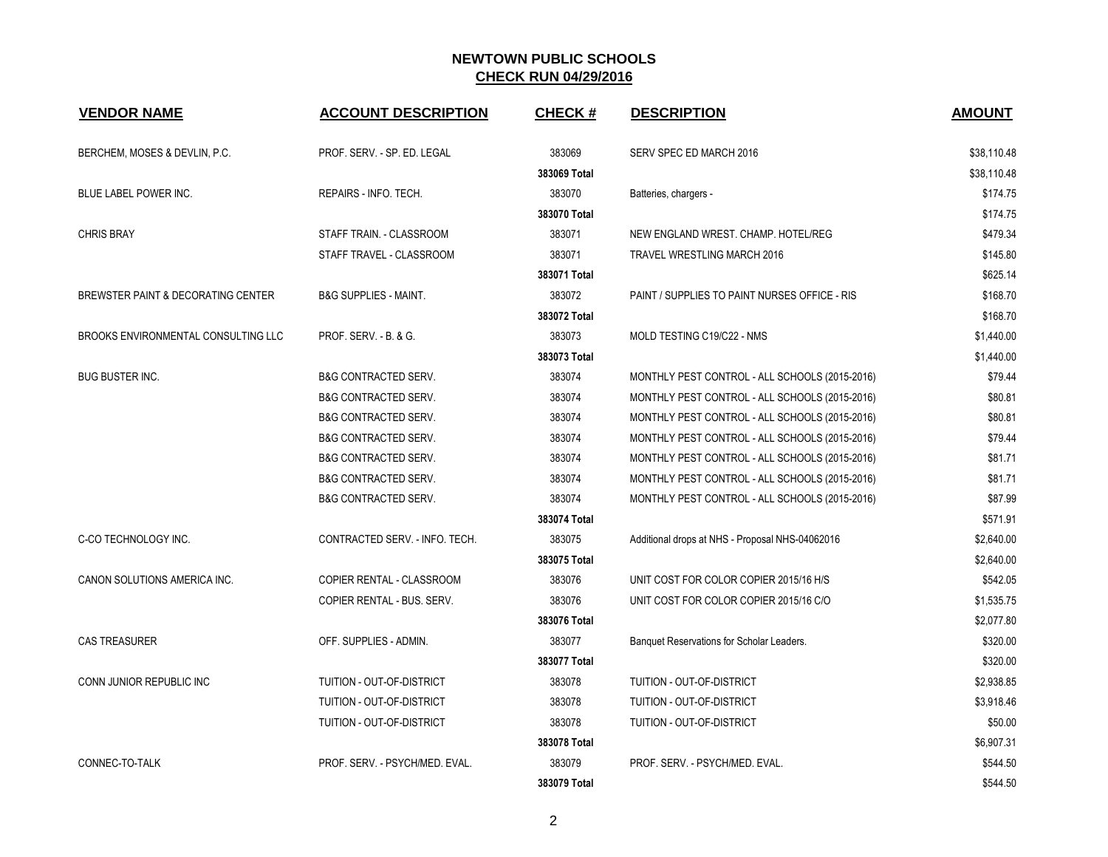| <b>VENDOR NAME</b>                  | <b>ACCOUNT DESCRIPTION</b>       | <b>CHECK#</b> | <b>DESCRIPTION</b>                              | <b>AMOUNT</b> |
|-------------------------------------|----------------------------------|---------------|-------------------------------------------------|---------------|
| BERCHEM, MOSES & DEVLIN, P.C.       | PROF. SERV. - SP. ED. LEGAL      | 383069        | SERV SPEC ED MARCH 2016                         | \$38,110.48   |
|                                     |                                  | 383069 Total  |                                                 | \$38,110.48   |
| BLUE LABEL POWER INC.               | REPAIRS - INFO. TECH.            | 383070        | Batteries, chargers -                           | \$174.75      |
|                                     |                                  | 383070 Total  |                                                 | \$174.75      |
| <b>CHRIS BRAY</b>                   | STAFF TRAIN. - CLASSROOM         | 383071        | NEW ENGLAND WREST, CHAMP, HOTEL/REG             | \$479.34      |
|                                     | STAFF TRAVEL - CLASSROOM         | 383071        | <b>TRAVEL WRESTLING MARCH 2016</b>              | \$145.80      |
|                                     |                                  | 383071 Total  |                                                 | \$625.14      |
| BREWSTER PAINT & DECORATING CENTER  | <b>B&amp;G SUPPLIES - MAINT.</b> | 383072        | PAINT / SUPPLIES TO PAINT NURSES OFFICE - RIS   | \$168.70      |
|                                     |                                  | 383072 Total  |                                                 | \$168.70      |
| BROOKS ENVIRONMENTAL CONSULTING LLC | PROF. SERV. - B. & G.            | 383073        | MOLD TESTING C19/C22 - NMS                      | \$1,440.00    |
|                                     |                                  | 383073 Total  |                                                 | \$1,440.00    |
| <b>BUG BUSTER INC.</b>              | <b>B&amp;G CONTRACTED SERV.</b>  | 383074        | MONTHLY PEST CONTROL - ALL SCHOOLS (2015-2016)  | \$79.44       |
|                                     | <b>B&amp;G CONTRACTED SERV.</b>  | 383074        | MONTHLY PEST CONTROL - ALL SCHOOLS (2015-2016)  | \$80.81       |
|                                     | <b>B&amp;G CONTRACTED SERV.</b>  | 383074        | MONTHLY PEST CONTROL - ALL SCHOOLS (2015-2016)  | \$80.81       |
|                                     | <b>B&amp;G CONTRACTED SERV.</b>  | 383074        | MONTHLY PEST CONTROL - ALL SCHOOLS (2015-2016)  | \$79.44       |
|                                     | <b>B&amp;G CONTRACTED SERV.</b>  | 383074        | MONTHLY PEST CONTROL - ALL SCHOOLS (2015-2016)  | \$81.71       |
|                                     | <b>B&amp;G CONTRACTED SERV.</b>  | 383074        | MONTHLY PEST CONTROL - ALL SCHOOLS (2015-2016)  | \$81.71       |
|                                     | <b>B&amp;G CONTRACTED SERV.</b>  | 383074        | MONTHLY PEST CONTROL - ALL SCHOOLS (2015-2016)  | \$87.99       |
|                                     |                                  | 383074 Total  |                                                 | \$571.91      |
| C-CO TECHNOLOGY INC.                | CONTRACTED SERV. - INFO. TECH.   | 383075        | Additional drops at NHS - Proposal NHS-04062016 | \$2,640.00    |
|                                     |                                  | 383075 Total  |                                                 | \$2,640.00    |
| CANON SOLUTIONS AMERICA INC.        | COPIER RENTAL - CLASSROOM        | 383076        | UNIT COST FOR COLOR COPIER 2015/16 H/S          | \$542.05      |
|                                     | COPIER RENTAL - BUS. SERV.       | 383076        | UNIT COST FOR COLOR COPIER 2015/16 C/O          | \$1,535.75    |
|                                     |                                  | 383076 Total  |                                                 | \$2,077.80    |
| <b>CAS TREASURER</b>                | OFF. SUPPLIES - ADMIN.           | 383077        | Banquet Reservations for Scholar Leaders.       | \$320.00      |
|                                     |                                  | 383077 Total  |                                                 | \$320.00      |
| CONN JUNIOR REPUBLIC INC            | TUITION - OUT-OF-DISTRICT        | 383078        | TUITION - OUT-OF-DISTRICT                       | \$2,938.85    |
|                                     | TUITION - OUT-OF-DISTRICT        | 383078        | <b>TUITION - OUT-OF-DISTRICT</b>                | \$3,918.46    |
|                                     | TUITION - OUT-OF-DISTRICT        | 383078        | TUITION - OUT-OF-DISTRICT                       | \$50.00       |
|                                     |                                  | 383078 Total  |                                                 | \$6,907.31    |
| CONNEC-TO-TALK                      | PROF. SERV. - PSYCH/MED. EVAL.   | 383079        | PROF. SERV. - PSYCH/MED. EVAL.                  | \$544.50      |
|                                     |                                  | 383079 Total  |                                                 | \$544.50      |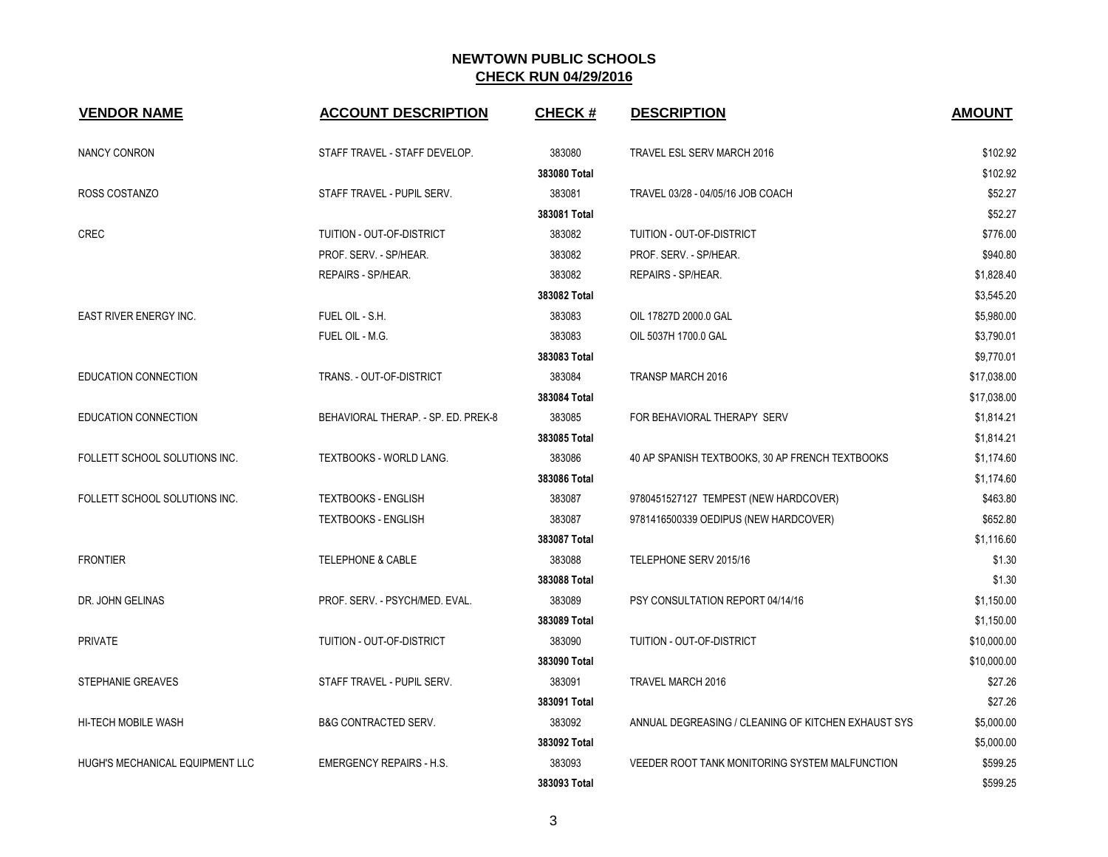| <b>VENDOR NAME</b>              | <b>ACCOUNT DESCRIPTION</b>          | <b>CHECK#</b> | <b>DESCRIPTION</b>                                  | <b>AMOUNT</b> |
|---------------------------------|-------------------------------------|---------------|-----------------------------------------------------|---------------|
| <b>NANCY CONRON</b>             | STAFF TRAVEL - STAFF DEVELOP.       | 383080        | TRAVEL ESL SERV MARCH 2016                          | \$102.92      |
|                                 |                                     | 383080 Total  |                                                     | \$102.92      |
| ROSS COSTANZO                   | STAFF TRAVEL - PUPIL SERV.          | 383081        | TRAVEL 03/28 - 04/05/16 JOB COACH                   | \$52.27       |
|                                 |                                     | 383081 Total  |                                                     | \$52.27       |
| CREC                            | TUITION - OUT-OF-DISTRICT           | 383082        | TUITION - OUT-OF-DISTRICT                           | \$776.00      |
|                                 | PROF. SERV. - SP/HEAR.              | 383082        | PROF. SERV. - SP/HEAR.                              | \$940.80      |
|                                 | REPAIRS - SP/HEAR.                  | 383082        | REPAIRS - SP/HEAR.                                  | \$1,828.40    |
|                                 |                                     | 383082 Total  |                                                     | \$3,545.20    |
| EAST RIVER ENERGY INC.          | FUEL OIL - S.H.                     | 383083        | OIL 17827D 2000.0 GAL                               | \$5,980.00    |
|                                 | FUEL OIL - M.G.                     | 383083        | OIL 5037H 1700.0 GAL                                | \$3,790.01    |
|                                 |                                     | 383083 Total  |                                                     | \$9,770.01    |
| <b>EDUCATION CONNECTION</b>     | TRANS. - OUT-OF-DISTRICT            | 383084        | <b>TRANSP MARCH 2016</b>                            | \$17,038.00   |
|                                 |                                     | 383084 Total  |                                                     | \$17,038.00   |
| EDUCATION CONNECTION            | BEHAVIORAL THERAP. - SP. ED. PREK-8 | 383085        | FOR BEHAVIORAL THERAPY SERV                         | \$1,814.21    |
|                                 |                                     | 383085 Total  |                                                     | \$1,814.21    |
| FOLLETT SCHOOL SOLUTIONS INC.   | <b>TEXTBOOKS - WORLD LANG.</b>      | 383086        | 40 AP SPANISH TEXTBOOKS, 30 AP FRENCH TEXTBOOKS     | \$1,174.60    |
|                                 |                                     | 383086 Total  |                                                     | \$1,174.60    |
| FOLLETT SCHOOL SOLUTIONS INC.   | <b>TEXTBOOKS - ENGLISH</b>          | 383087        | 9780451527127 TEMPEST (NEW HARDCOVER)               | \$463.80      |
|                                 | <b>TEXTBOOKS - ENGLISH</b>          | 383087        | 9781416500339 OEDIPUS (NEW HARDCOVER)               | \$652.80      |
|                                 |                                     | 383087 Total  |                                                     | \$1,116.60    |
| <b>FRONTIER</b>                 | <b>TELEPHONE &amp; CABLE</b>        | 383088        | TELEPHONE SERV 2015/16                              | \$1.30        |
|                                 |                                     | 383088 Total  |                                                     | \$1.30        |
| DR. JOHN GELINAS                | PROF. SERV. - PSYCH/MED. EVAL.      | 383089        | PSY CONSULTATION REPORT 04/14/16                    | \$1,150.00    |
|                                 |                                     | 383089 Total  |                                                     | \$1,150.00    |
| <b>PRIVATE</b>                  | TUITION - OUT-OF-DISTRICT           | 383090        | TUITION - OUT-OF-DISTRICT                           | \$10,000.00   |
|                                 |                                     | 383090 Total  |                                                     | \$10,000.00   |
| STEPHANIE GREAVES               | STAFF TRAVEL - PUPIL SERV.          | 383091        | <b>TRAVEL MARCH 2016</b>                            | \$27.26       |
|                                 |                                     | 383091 Total  |                                                     | \$27.26       |
| HI-TECH MOBILE WASH             | <b>B&amp;G CONTRACTED SERV.</b>     | 383092        | ANNUAL DEGREASING / CLEANING OF KITCHEN EXHAUST SYS | \$5,000.00    |
|                                 |                                     | 383092 Total  |                                                     | \$5,000.00    |
| HUGH'S MECHANICAL EQUIPMENT LLC | <b>EMERGENCY REPAIRS - H.S.</b>     | 383093        | VEEDER ROOT TANK MONITORING SYSTEM MALFUNCTION      | \$599.25      |
|                                 |                                     | 383093 Total  |                                                     | \$599.25      |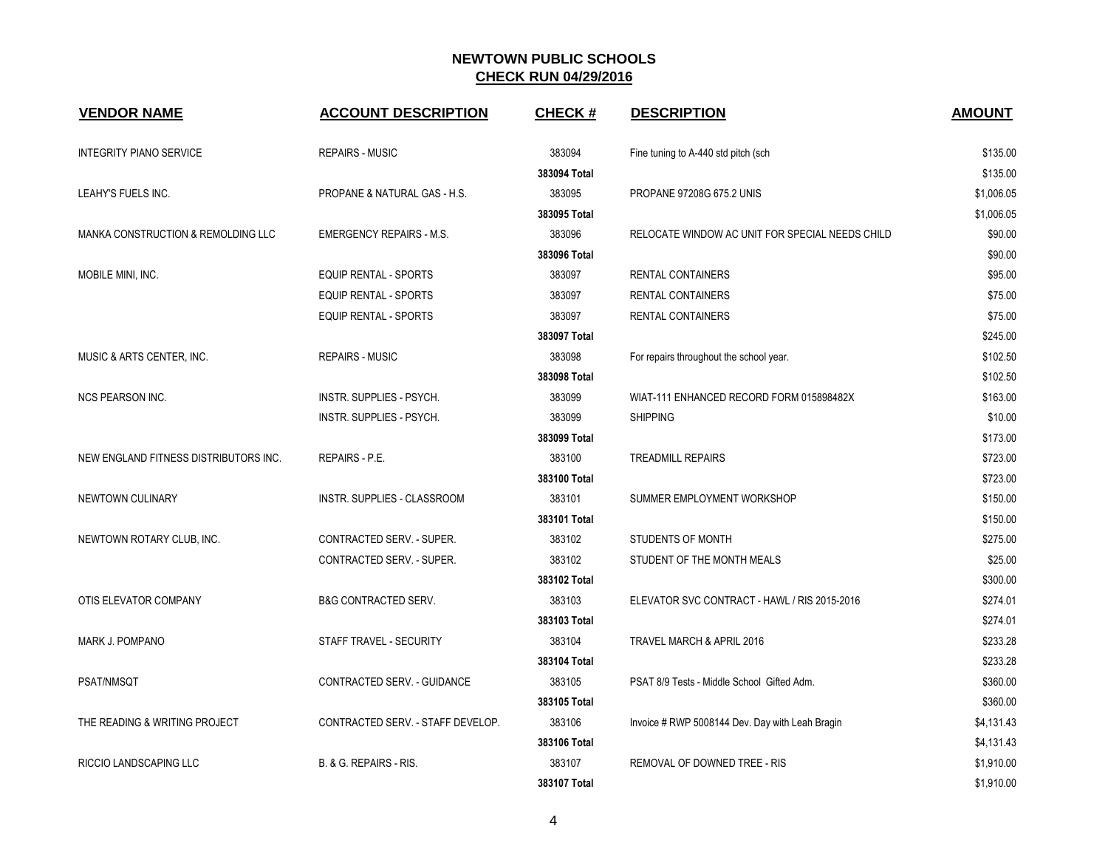| <b>VENDOR NAME</b>                    | <b>ACCOUNT DESCRIPTION</b>        | <b>CHECK#</b> | <b>DESCRIPTION</b>                              | <b>AMOUNT</b> |
|---------------------------------------|-----------------------------------|---------------|-------------------------------------------------|---------------|
| <b>INTEGRITY PIANO SERVICE</b>        | <b>REPAIRS - MUSIC</b>            | 383094        | Fine tuning to A-440 std pitch (sch             | \$135.00      |
|                                       |                                   | 383094 Total  |                                                 | \$135.00      |
| LEAHY'S FUELS INC.                    | PROPANE & NATURAL GAS - H.S.      | 383095        | PROPANE 97208G 675.2 UNIS                       | \$1,006.05    |
|                                       |                                   | 383095 Total  |                                                 | \$1,006.05    |
| MANKA CONSTRUCTION & REMOLDING LLC    | <b>EMERGENCY REPAIRS - M.S.</b>   | 383096        | RELOCATE WINDOW AC UNIT FOR SPECIAL NEEDS CHILD | \$90.00       |
|                                       |                                   | 383096 Total  |                                                 | \$90.00       |
| MOBILE MINI, INC.                     | <b>EQUIP RENTAL - SPORTS</b>      | 383097        | <b>RENTAL CONTAINERS</b>                        | \$95.00       |
|                                       | EQUIP RENTAL - SPORTS             | 383097        | <b>RENTAL CONTAINERS</b>                        | \$75.00       |
|                                       | EQUIP RENTAL - SPORTS             | 383097        | RENTAL CONTAINERS                               | \$75.00       |
|                                       |                                   | 383097 Total  |                                                 | \$245.00      |
| MUSIC & ARTS CENTER, INC.             | <b>REPAIRS - MUSIC</b>            | 383098        | For repairs throughout the school year.         | \$102.50      |
|                                       |                                   | 383098 Total  |                                                 | \$102.50      |
| <b>NCS PEARSON INC.</b>               | INSTR. SUPPLIES - PSYCH.          | 383099        | WIAT-111 ENHANCED RECORD FORM 015898482X        | \$163.00      |
|                                       | INSTR. SUPPLIES - PSYCH.          | 383099        | <b>SHIPPING</b>                                 | \$10.00       |
|                                       |                                   | 383099 Total  |                                                 | \$173.00      |
| NEW ENGLAND FITNESS DISTRIBUTORS INC. | REPAIRS - P.E.                    | 383100        | <b>TREADMILL REPAIRS</b>                        | \$723.00      |
|                                       |                                   | 383100 Total  |                                                 | \$723.00      |
| NEWTOWN CULINARY                      | INSTR. SUPPLIES - CLASSROOM       | 383101        | SUMMER EMPLOYMENT WORKSHOP                      | \$150.00      |
|                                       |                                   | 383101 Total  |                                                 | \$150.00      |
| NEWTOWN ROTARY CLUB, INC.             | CONTRACTED SERV. - SUPER.         | 383102        | <b>STUDENTS OF MONTH</b>                        | \$275.00      |
|                                       | CONTRACTED SERV. - SUPER.         | 383102        | STUDENT OF THE MONTH MEALS                      | \$25.00       |
|                                       |                                   | 383102 Total  |                                                 | \$300.00      |
| OTIS ELEVATOR COMPANY                 | <b>B&amp;G CONTRACTED SERV.</b>   | 383103        | ELEVATOR SVC CONTRACT - HAWL / RIS 2015-2016    | \$274.01      |
|                                       |                                   | 383103 Total  |                                                 | \$274.01      |
| MARK J. POMPANO                       | STAFF TRAVEL - SECURITY           | 383104        | TRAVEL MARCH & APRIL 2016                       | \$233.28      |
|                                       |                                   | 383104 Total  |                                                 | \$233.28      |
| PSAT/NMSQT                            | CONTRACTED SERV. - GUIDANCE       | 383105        | PSAT 8/9 Tests - Middle School Gifted Adm.      | \$360.00      |
|                                       |                                   | 383105 Total  |                                                 | \$360.00      |
| THE READING & WRITING PROJECT         | CONTRACTED SERV. - STAFF DEVELOP. | 383106        | Invoice # RWP 5008144 Dev. Day with Leah Bragin | \$4,131.43    |
|                                       |                                   | 383106 Total  |                                                 | \$4,131.43    |
| <b>RICCIO LANDSCAPING LLC</b>         | B. & G. REPAIRS - RIS.            | 383107        | REMOVAL OF DOWNED TREE - RIS                    | \$1,910.00    |
|                                       |                                   | 383107 Total  |                                                 | \$1,910.00    |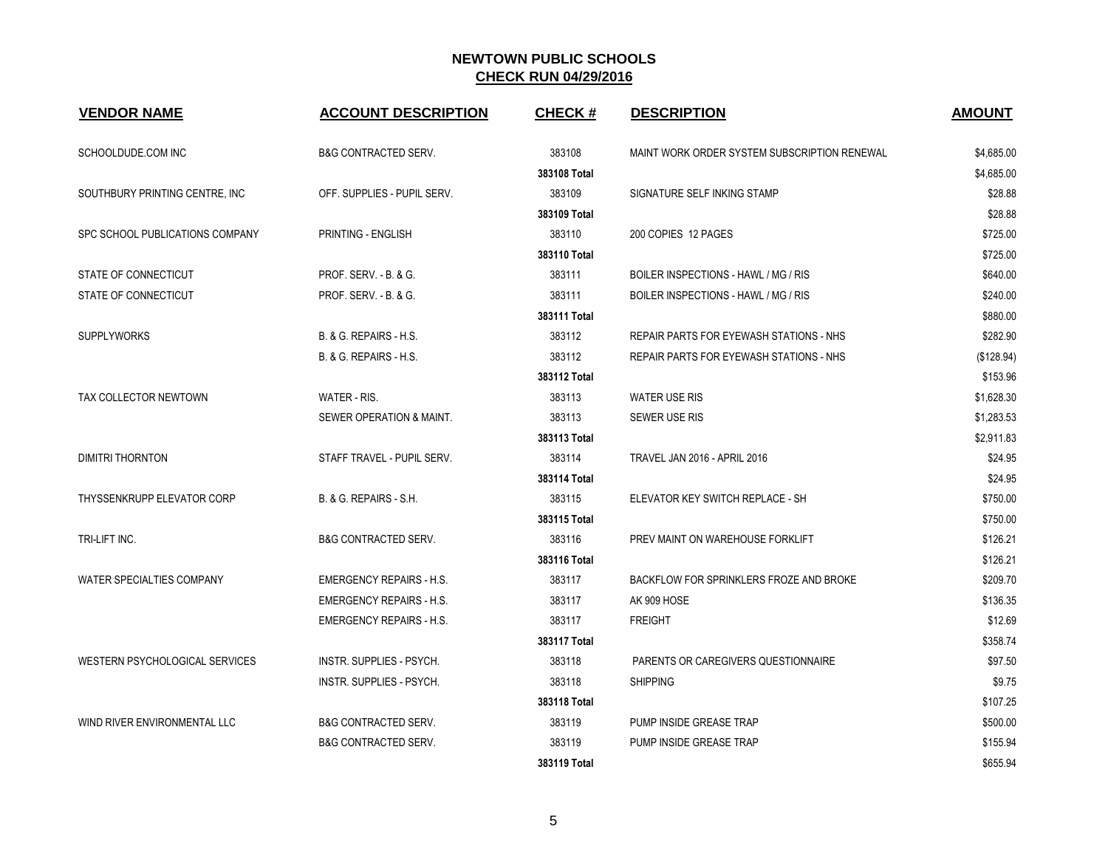| <b>VENDOR NAME</b>              | <b>ACCOUNT DESCRIPTION</b>        | <b>CHECK#</b> | <b>DESCRIPTION</b>                           | <b>AMOUNT</b> |
|---------------------------------|-----------------------------------|---------------|----------------------------------------------|---------------|
| SCHOOLDUDE.COM INC              | <b>B&amp;G CONTRACTED SERV.</b>   | 383108        | MAINT WORK ORDER SYSTEM SUBSCRIPTION RENEWAL | \$4,685.00    |
|                                 |                                   | 383108 Total  |                                              | \$4,685.00    |
| SOUTHBURY PRINTING CENTRE, INC. | OFF. SUPPLIES - PUPIL SERV.       | 383109        | SIGNATURE SELF INKING STAMP                  | \$28.88       |
|                                 |                                   | 383109 Total  |                                              | \$28.88       |
| SPC SCHOOL PUBLICATIONS COMPANY | PRINTING - ENGLISH                | 383110        | 200 COPIES 12 PAGES                          | \$725.00      |
|                                 |                                   | 383110 Total  |                                              | \$725.00      |
| STATE OF CONNECTICUT            | PROF. SERV. - B. & G.             | 383111        | BOILER INSPECTIONS - HAWL / MG / RIS         | \$640.00      |
| STATE OF CONNECTICUT            | <b>PROF. SERV. - B. &amp; G.</b>  | 383111        | BOILER INSPECTIONS - HAWL / MG / RIS         | \$240.00      |
|                                 |                                   | 383111 Total  |                                              | \$880.00      |
| <b>SUPPLYWORKS</b>              | B. & G. REPAIRS - H.S.            | 383112        | REPAIR PARTS FOR EYEWASH STATIONS - NHS      | \$282.90      |
|                                 | B. & G. REPAIRS - H.S.            | 383112        | REPAIR PARTS FOR EYEWASH STATIONS - NHS      | (\$128.94)    |
|                                 |                                   | 383112 Total  |                                              | \$153.96      |
| TAX COLLECTOR NEWTOWN           | WATER - RIS.                      | 383113        | <b>WATER USE RIS</b>                         | \$1,628.30    |
|                                 | SEWER OPERATION & MAINT.          | 383113        | <b>SEWER USE RIS</b>                         | \$1,283.53    |
|                                 |                                   | 383113 Total  |                                              | \$2,911.83    |
| DIMITRI THORNTON                | STAFF TRAVEL - PUPIL SERV.        | 383114        | <b>TRAVEL JAN 2016 - APRIL 2016</b>          | \$24.95       |
|                                 |                                   | 383114 Total  |                                              | \$24.95       |
| THYSSENKRUPP ELEVATOR CORP      | <b>B. &amp; G. REPAIRS - S.H.</b> | 383115        | ELEVATOR KEY SWITCH REPLACE - SH             | \$750.00      |
|                                 |                                   | 383115 Total  |                                              | \$750.00      |
| TRI-LIFT INC.                   | <b>B&amp;G CONTRACTED SERV.</b>   | 383116        | PREV MAINT ON WAREHOUSE FORKLIFT             | \$126.21      |
|                                 |                                   | 383116 Total  |                                              | \$126.21      |
| WATER SPECIALTIES COMPANY       | <b>EMERGENCY REPAIRS - H.S.</b>   | 383117        | BACKFLOW FOR SPRINKLERS FROZE AND BROKE      | \$209.70      |
|                                 | <b>EMERGENCY REPAIRS - H.S.</b>   | 383117        | AK 909 HOSE                                  | \$136.35      |
|                                 | <b>EMERGENCY REPAIRS - H.S.</b>   | 383117        | <b>FREIGHT</b>                               | \$12.69       |
|                                 |                                   | 383117 Total  |                                              | \$358.74      |
| WESTERN PSYCHOLOGICAL SERVICES  | INSTR. SUPPLIES - PSYCH.          | 383118        | PARENTS OR CAREGIVERS QUESTIONNAIRE          | \$97.50       |
|                                 | INSTR. SUPPLIES - PSYCH.          | 383118        | <b>SHIPPING</b>                              | \$9.75        |
|                                 |                                   | 383118 Total  |                                              | \$107.25      |
| WIND RIVER ENVIRONMENTAL LLC    | <b>B&amp;G CONTRACTED SERV.</b>   | 383119        | PUMP INSIDE GREASE TRAP                      | \$500.00      |
|                                 | <b>B&amp;G CONTRACTED SERV.</b>   | 383119        | PUMP INSIDE GREASE TRAP                      | \$155.94      |
|                                 |                                   | 383119 Total  |                                              | \$655.94      |